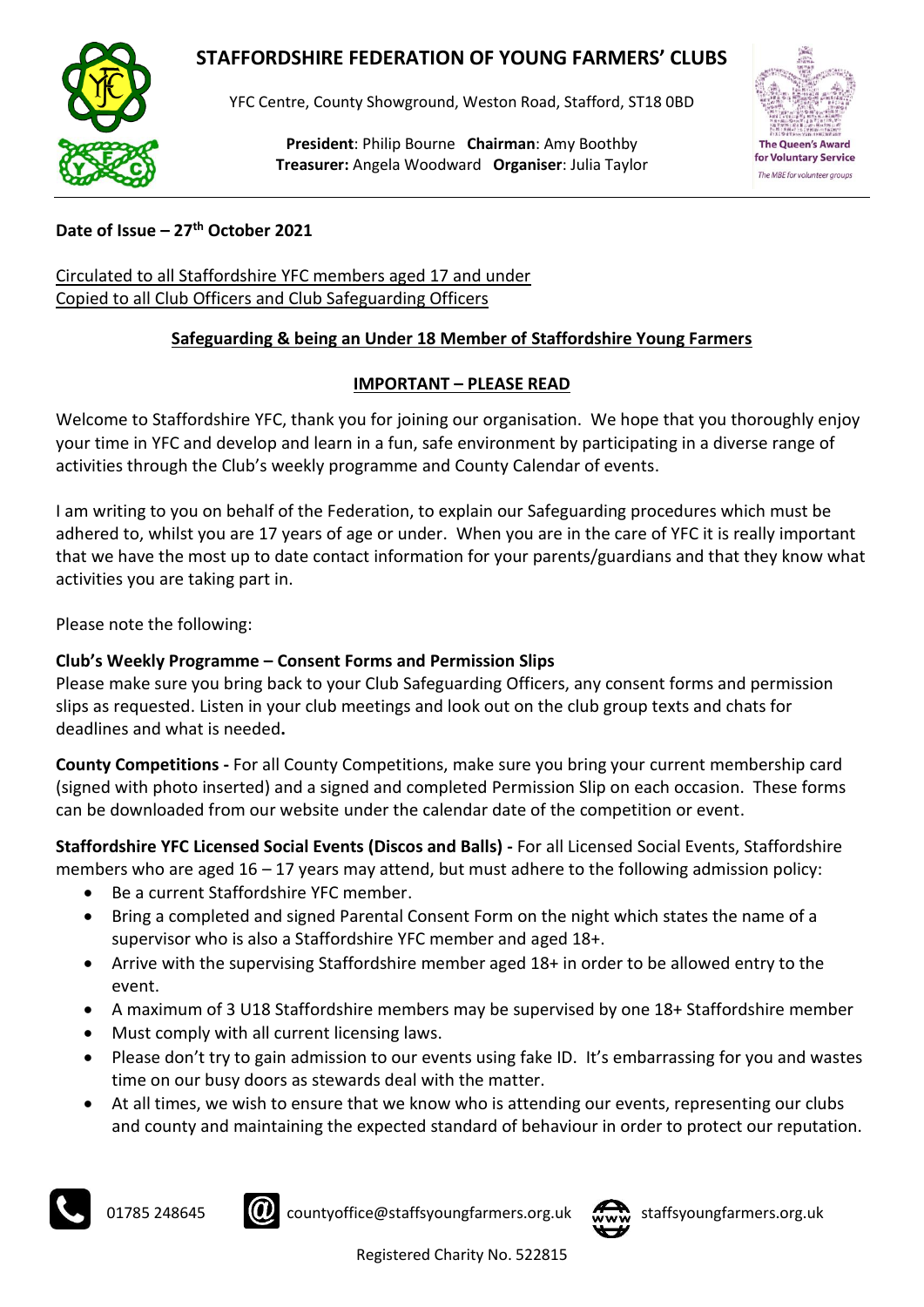## **STAFFORDSHIRE FEDERATION OF YOUNG FARMERS' CLUBS**



YFC Centre, County Showground, Weston Road, Stafford, ST18 0BD

**President**: Philip Bourne **Chairman**: Amy Boothby **Treasurer:** Angela Woodward **Organiser**: Julia Taylor



**Date of Issue – 27th October 2021**

Circulated to all Staffordshire YFC members aged 17 and under Copied to all Club Officers and Club Safeguarding Officers

## **Safeguarding & being an Under 18 Member of Staffordshire Young Farmers**

## **IMPORTANT – PLEASE READ**

Welcome to Staffordshire YFC, thank you for joining our organisation. We hope that you thoroughly enjoy your time in YFC and develop and learn in a fun, safe environment by participating in a diverse range of activities through the Club's weekly programme and County Calendar of events.

I am writing to you on behalf of the Federation, to explain our Safeguarding procedures which must be adhered to, whilst you are 17 years of age or under. When you are in the care of YFC it is really important that we have the most up to date contact information for your parents/guardians and that they know what activities you are taking part in.

Please note the following:

## **Club's Weekly Programme – Consent Forms and Permission Slips**

Please make sure you bring back to your Club Safeguarding Officers, any consent forms and permission slips as requested. Listen in your club meetings and look out on the club group texts and chats for deadlines and what is needed**.**

**County Competitions -** For all County Competitions, make sure you bring your current membership card (signed with photo inserted) and a signed and completed Permission Slip on each occasion. These forms can be downloaded from our website under the calendar date of the competition or event.

**Staffordshire YFC Licensed Social Events (Discos and Balls) -** For all Licensed Social Events, Staffordshire members who are aged  $16 - 17$  years may attend, but must adhere to the following admission policy:

- Be a current Staffordshire YFC member.
- Bring a completed and signed Parental Consent Form on the night which states the name of a supervisor who is also a Staffordshire YFC member and aged 18+.
- Arrive with the supervising Staffordshire member aged 18+ in order to be allowed entry to the event.
- A maximum of 3 U18 Staffordshire members may be supervised by one 18+ Staffordshire member
- Must comply with all current licensing laws.
- Please don't try to gain admission to our events using fake ID. It's embarrassing for you and wastes time on our busy doors as stewards deal with the matter.
- At all times, we wish to ensure that we know who is attending our events, representing our clubs and county and maintaining the expected standard of behaviour in order to protect our reputation.





01785 248645 **CO** countyoffice@staffsyoungfarmers.org.uk www staffsyoungfarmers.org.uk